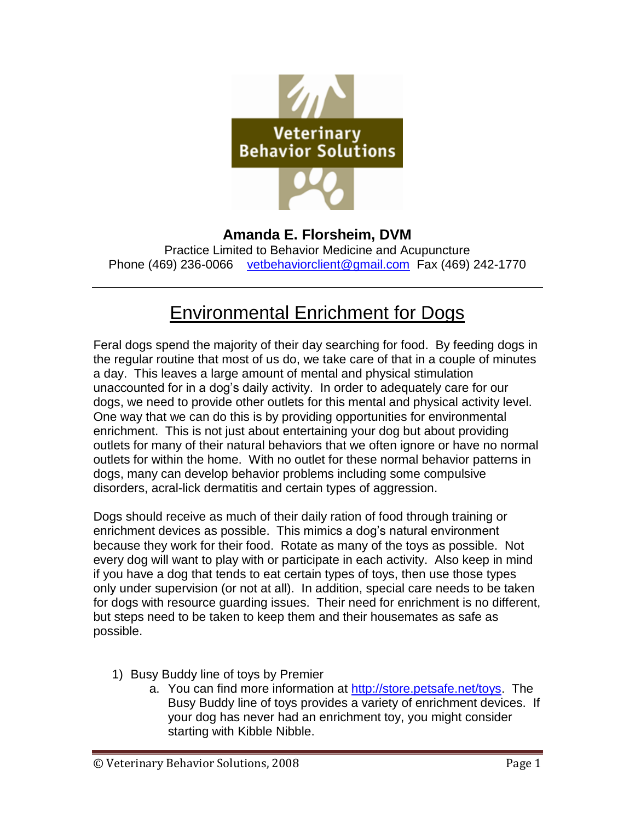

**Amanda E. Florsheim, DVM** Practice Limited to Behavior Medicine and Acupuncture Phone (469) 236-0066 [vetbehaviorclient@gmail.com](mailto:vetbehaviorclient@gmail.com) Fax (469) 242-1770

## Environmental Enrichment for Dogs

Feral dogs spend the majority of their day searching for food. By feeding dogs in the regular routine that most of us do, we take care of that in a couple of minutes a day. This leaves a large amount of mental and physical stimulation unaccounted for in a dog's daily activity. In order to adequately care for our dogs, we need to provide other outlets for this mental and physical activity level. One way that we can do this is by providing opportunities for environmental enrichment. This is not just about entertaining your dog but about providing outlets for many of their natural behaviors that we often ignore or have no normal outlets for within the home. With no outlet for these normal behavior patterns in dogs, many can develop behavior problems including some compulsive disorders, acral-lick dermatitis and certain types of aggression.

Dogs should receive as much of their daily ration of food through training or enrichment devices as possible. This mimics a dog's natural environment because they work for their food. Rotate as many of the toys as possible. Not every dog will want to play with or participate in each activity. Also keep in mind if you have a dog that tends to eat certain types of toys, then use those types only under supervision (or not at all). In addition, special care needs to be taken for dogs with resource guarding issues. Their need for enrichment is no different, but steps need to be taken to keep them and their housemates as safe as possible.

- 1) Busy Buddy line of toys by Premier
	- a. You can find more information at [http://store.petsafe.net/toys.](http://store.petsafe.net/toys) The Busy Buddy line of toys provides a variety of enrichment devices. If your dog has never had an enrichment toy, you might consider starting with Kibble Nibble.